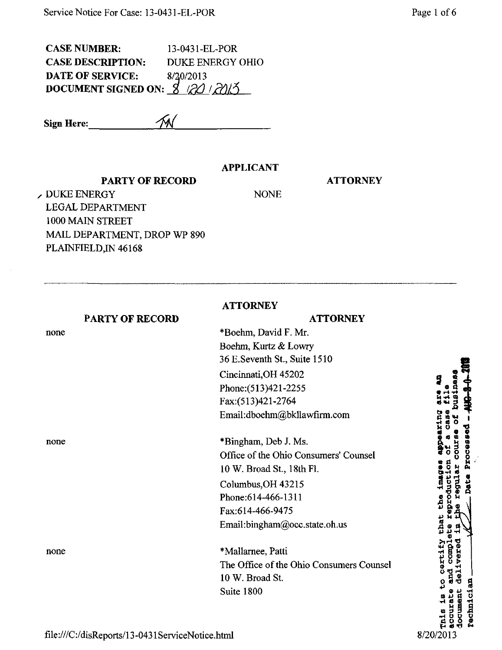CASE NUMBER: CASE DESCRIPTION: DATE OF SERVICE: DOCUMENT SIGNED ON: 8 20 20 3 13-0431-EL-POR DUKE ENERGY OHIO 8/20/2013

Sign Here:

## APPLICANT

NONE

## PARTY OF RECORD

**ATTORNEY** 

**BURGEOU** 

, DUKE ENERGY LEGAL DEPARTMENT 1000 MAIN STREET MAIL DEPARTMENT, DROP WP 890 PLAINFIELD, IN 46168

PARTY OF RECORD

**ATTORNEY** 

|      | FAKI Y UF KELUKD | AIIUKNEY                                 |
|------|------------------|------------------------------------------|
| none |                  | *Boehm, David F. Mr.                     |
|      |                  | Boehm, Kurtz & Lowry                     |
|      |                  | 36 E.Seventh St., Suite 1510             |
|      |                  | Cincinnati, OH 45202                     |
|      |                  | Phone: (513)421-2255                     |
|      |                  | Fax: (513) 421-2764                      |
|      |                  | Email:dboehm@bkllawfirm.com              |
| none |                  | *Bingham, Deb J. Ms.                     |
|      |                  | Office of the Ohio Consumers' Counsel    |
|      |                  | 10 W. Broad St., 18th Fl.                |
|      |                  | Columbus, OH 43215                       |
|      |                  | Phone: 614-466-1311                      |
|      |                  | Fax:614-466-9475                         |
|      |                  | Email:bingham@occ.state.oh.us            |
| none |                  | *Mallarnee, Patti                        |
|      |                  | The Office of the Ohio Consumers Counsel |
|      |                  | 10 W. Broad St.                          |
|      |                  | Suite 1800                               |
|      |                  |                                          |

id.

certify **COMP** 

 $\mu$  +  $\mu$   $\mu$ 

regula

vered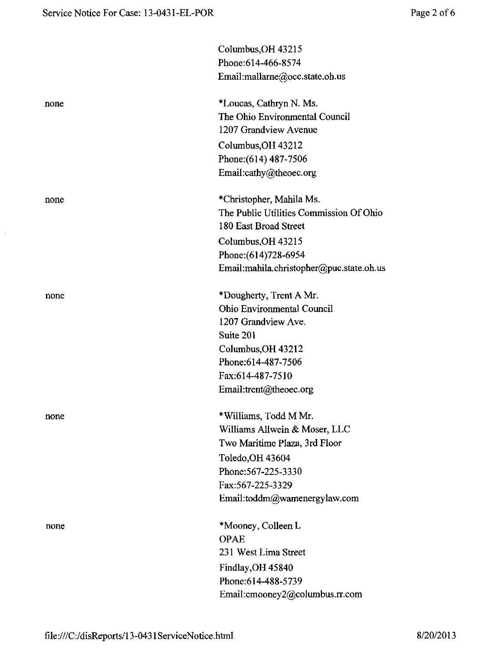$\sim$ 

|      | Columbus, OH 43215                       |
|------|------------------------------------------|
|      | Phone: 614-466-8574                      |
|      | Email:mallarne@occ.state.oh.us           |
| none | *Loucas, Cathryn N. Ms.                  |
|      | The Ohio Environmental Council           |
|      | 1207 Grandview Avenue                    |
|      | Columbus, OH 43212                       |
|      | Phone: (614) 487-7506                    |
|      | Email:cathy@theoec.org                   |
| none | *Christopher, Mahila Ms.                 |
|      | The Public Utilities Commission Of Ohio  |
|      | 180 East Broad Street                    |
|      | Columbus, OH 43215                       |
|      | Phone: (614) 728-6954                    |
|      | Email:mahila.christopher@puc.state.oh.us |
| none | *Dougherty, Trent A Mr.                  |
|      | <b>Ohio Environmental Council</b>        |
|      | 1207 Grandview Ave.                      |
|      | Suite 201                                |
|      | Columbus, OH 43212                       |
|      | Phone: 614-487-7506                      |
|      | Fax:614-487-7510                         |
|      | Email:trent@theoec.org                   |
| none | *Williams, Todd M Mr.                    |
|      | Williams Allwein & Moser, LLC            |
|      | Two Maritime Plaza, 3rd Floor            |
|      | Toledo, OH 43604                         |
|      | Phone: 567-225-3330                      |
|      | Fax:567-225-3329                         |
|      | Email:toddm@wamenergylaw.com             |
| none | *Mooney, Colleen L                       |
|      | <b>OPAE</b>                              |
|      | 231 West Lima Street                     |
|      | Findlay, OH 45840                        |
|      | Phone:614-488-5739                       |
|      | Email: emooney2@columbus.rr.com          |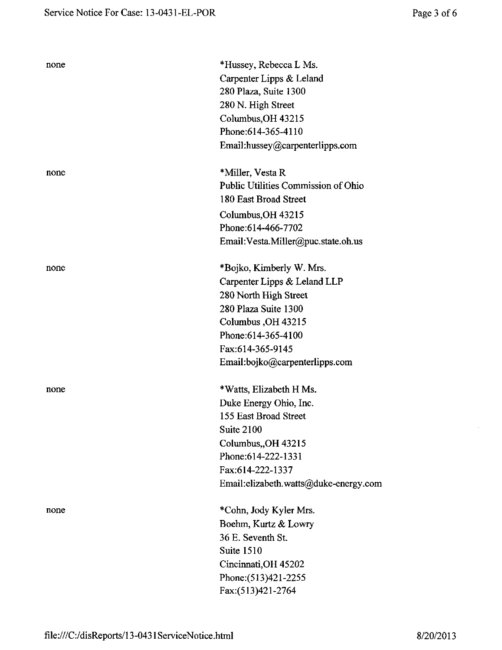| none | *Hussey, Rebecca L Ms.<br>Carpenter Lipps & Leland<br>280 Plaza, Suite 1300<br>280 N. High Street<br>Columbus, OH 43215<br>Phone: 614-365-4110<br>Email:hussey@carpenterlipps.com                            |
|------|--------------------------------------------------------------------------------------------------------------------------------------------------------------------------------------------------------------|
| none | *Miller, Vesta R<br>Public Utilities Commission of Ohio<br>180 East Broad Street<br>Columbus, OH 43215<br>Phone: 614-466-7702<br>Email: Vesta.Miller@puc.state.oh.us                                         |
| none | *Bojko, Kimberly W. Mrs.<br>Carpenter Lipps & Leland LLP<br>280 North High Street<br>280 Plaza Suite 1300<br>Columbus, OH 43215<br>Phone: 614-365-4100<br>Fax:614-365-9145<br>Email:bojko@carpenterlipps.com |
| none | *Watts, Elizabeth H Ms.<br>Duke Energy Ohio, Inc.<br>155 East Broad Street<br>Suite 2100<br>Columbus, OH 43215<br>Phone:614-222-1331<br>Fax:614-222-1337<br>Email:elizabeth.watts@duke-energy.com            |
| none | *Cohn, Jody Kyler Mrs.<br>Boehm, Kurtz & Lowry<br>36 E. Seventh St.<br>Suite 1510<br>Cincinnati, OH 45202<br>Phone: (513)421-2255<br>Fax:(513)421-2764                                                       |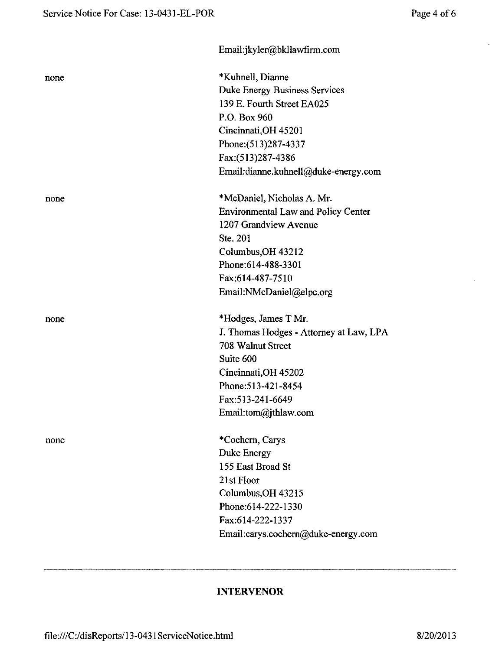|      | Email:jkyler@bkllawfirm.com                |
|------|--------------------------------------------|
| none | *Kuhnell, Dianne                           |
|      | <b>Duke Energy Business Services</b>       |
|      | 139 E. Fourth Street EA025                 |
|      | P.O. Box 960                               |
|      | Cincinnati, OH 45201                       |
|      | Phone: (513) 287-4337                      |
|      | Fax:(513)287-4386                          |
|      | Email:dianne.kuhnell@duke-energy.com       |
| none | *McDaniel, Nicholas A. Mr.                 |
|      | <b>Environmental Law and Policy Center</b> |
|      | 1207 Grandview Avenue                      |
|      | Ste. 201                                   |
|      | Columbus, OH 43212                         |
|      | Phone: 614-488-3301                        |
|      | Fax:614-487-7510                           |
|      | Email:NMcDaniel@elpc.org                   |
| none | *Hodges, James T Mr.                       |
|      | J. Thomas Hodges - Attorney at Law, LPA    |
|      | 708 Walnut Street                          |
|      | Suite 600                                  |
|      | Cincinnati, OH 45202                       |
|      | Phone: 513-421-8454                        |
|      | Fax: 513-241-6649                          |
|      | Email:tom@jthlaw.com                       |
| none | *Cochern, Carys                            |
|      | Duke Energy                                |
|      | 155 East Broad St                          |
|      | 21st Floor                                 |
|      | Columbus, OH 43215                         |
|      | Phone: 614-222-1330                        |
|      | Fax:614-222-1337                           |
|      | Email:carys.cochern@duke-energy.com        |
|      |                                            |

## INTERVENOR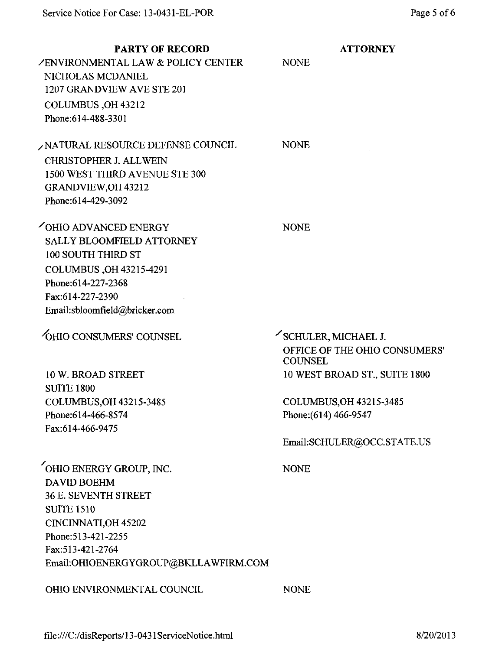| <b>PARTY OF RECORD</b><br><b>ZENVIRONMENTAL LAW &amp; POLICY CENTER</b><br>NICHOLAS MCDANIEL<br>1207 GRANDVIEW AVE STE 201<br>COLUMBUS, OH 43212<br>Phone: 614-488-3301                                      | <b>ATTORNEY</b><br><b>NONE</b>                                                       |
|--------------------------------------------------------------------------------------------------------------------------------------------------------------------------------------------------------------|--------------------------------------------------------------------------------------|
| NATURAL RESOURCE DEFENSE COUNCIL<br><b>CHRISTOPHER J. ALLWEIN</b><br>1500 WEST THIRD AVENUE STE 300<br>GRANDVIEW, OH 43212<br>Phone: 614-429-3092                                                            | <b>NONE</b>                                                                          |
| OHIO ADVANCED ENERGY<br><b>SALLY BLOOMFIELD ATTORNEY</b><br>100 SOUTH THIRD ST<br>COLUMBUS, OH 43215-4291<br>Phone: 614-227-2368<br>Fax:614-227-2390<br>Email:sbloomfield@bricker.com                        | <b>NONE</b>                                                                          |
| <b>OHIO CONSUMERS' COUNSEL</b>                                                                                                                                                                               | SCHULER, MICHAEL J.<br>OFFICE OF THE OHIO CONSUMERS'<br><b>COUNSEL</b>               |
| 10 W. BROAD STREET<br><b>SUITE 1800</b>                                                                                                                                                                      | 10 WEST BROAD ST., SUITE 1800                                                        |
| COLUMBUS.OH 43215-3485<br>Phone: 614-466-8574<br>Fax:614-466-9475                                                                                                                                            | <b>COLUMBUS.OH 43215-3485</b><br>Phone: (614) 466-9547<br>Email:SCHULER@OCC.STATE.US |
| OHIO ENERGY GROUP, INC.<br><b>DAVID BOEHM</b><br><b>36 E. SEVENTH STREET</b><br><b>SUITE 1510</b><br>CINCINNATI, OH 45202<br>Phone: 513-421-2255<br>Fax:513-421-2764<br>Email:OHIOENERGYGROUP@BKLLAWFIRM.COM | <b>NONE</b>                                                                          |
| OHIO ENVIRONMENTAL COUNCIL                                                                                                                                                                                   | <b>NONE</b>                                                                          |

 $\ddot{\phantom{a}}$